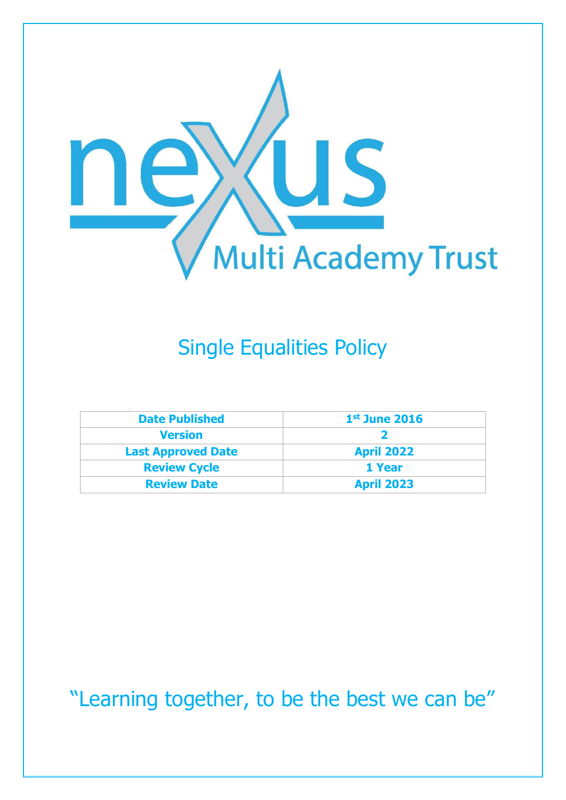

# Single Equalities Policy

| <b>Date Published</b>     | $1st$ June 2016   |
|---------------------------|-------------------|
| <b>Version</b>            |                   |
| <b>Last Approved Date</b> | <b>April 2022</b> |
| <b>Review Cycle</b>       | 1 Year            |
| <b>Review Date</b>        | <b>April 2023</b> |

"Learning together, to be the best we can be"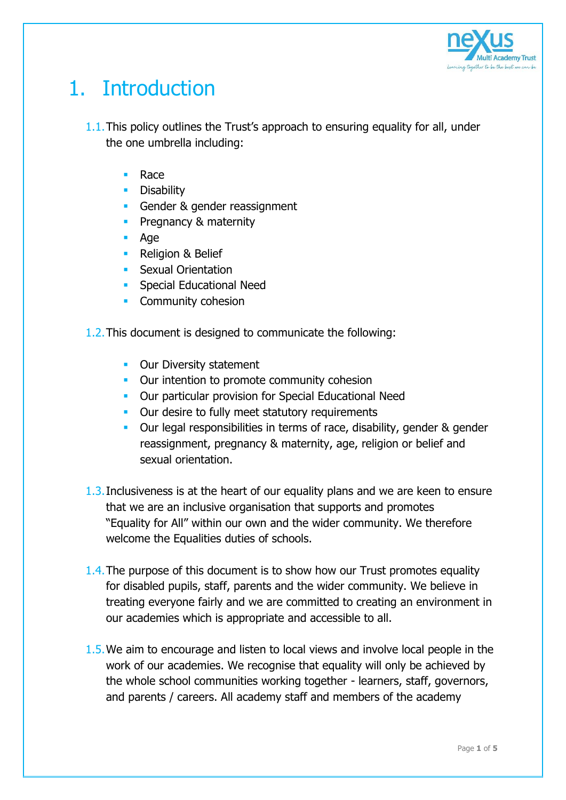

## 1. Introduction

- 1.1.This policy outlines the Trust's approach to ensuring equality for all, under the one umbrella including:
	- **Race**
	- **•** Disability
	- Gender & gender reassignment
	- **Pregnancy & maternity**
	- Age
	- **Religion & Belief**
	- **Sexual Orientation**
	- **Special Educational Need**
	- Community cohesion

1.2.This document is designed to communicate the following:

- **Dur Diversity statement**
- **Our intention to promote community cohesion**
- **Dur particular provision for Special Educational Need**
- **Dur desire to fully meet statutory requirements**
- **Dur legal responsibilities in terms of race, disability, gender & gender** reassignment, pregnancy & maternity, age, religion or belief and sexual orientation.
- 1.3.Inclusiveness is at the heart of our equality plans and we are keen to ensure that we are an inclusive organisation that supports and promotes "Equality for All" within our own and the wider community. We therefore welcome the Equalities duties of schools.
- 1.4. The purpose of this document is to show how our Trust promotes equality for disabled pupils, staff, parents and the wider community. We believe in treating everyone fairly and we are committed to creating an environment in our academies which is appropriate and accessible to all.
- 1.5.We aim to encourage and listen to local views and involve local people in the work of our academies. We recognise that equality will only be achieved by the whole school communities working together - learners, staff, governors, and parents / careers. All academy staff and members of the academy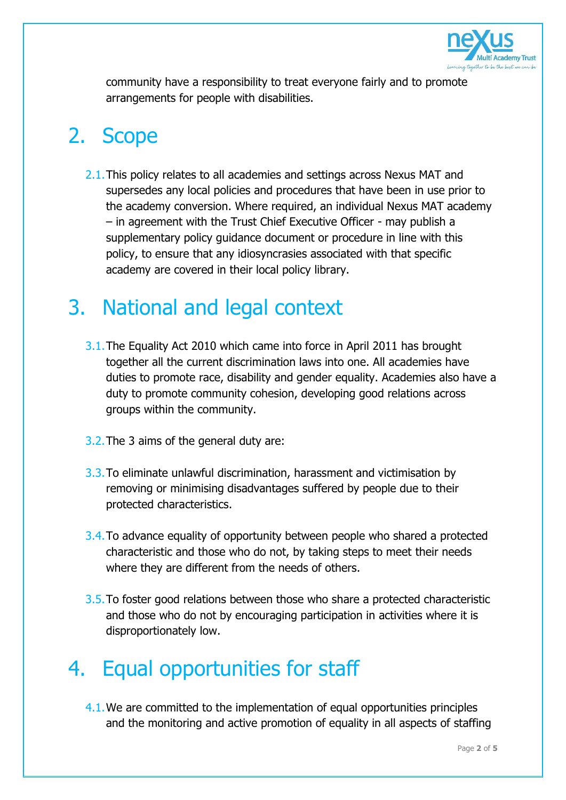

community have a responsibility to treat everyone fairly and to promote arrangements for people with disabilities.

## 2. Scope

2.1. This policy relates to all academies and settings across Nexus MAT and supersedes any local policies and procedures that have been in use prior to the academy conversion. Where required, an individual Nexus MAT academy – in agreement with the Trust Chief Executive Officer - may publish a supplementary policy guidance document or procedure in line with this policy, to ensure that any idiosyncrasies associated with that specific academy are covered in their local policy library.

#### 3. National and legal context

- 3.1.The Equality Act 2010 which came into force in April 2011 has brought together all the current discrimination laws into one. All academies have duties to promote race, disability and gender equality. Academies also have a duty to promote community cohesion, developing good relations across groups within the community.
- 3.2.The 3 aims of the general duty are:
- 3.3.To eliminate unlawful discrimination, harassment and victimisation by removing or minimising disadvantages suffered by people due to their protected characteristics.
- 3.4. To advance equality of opportunity between people who shared a protected characteristic and those who do not, by taking steps to meet their needs where they are different from the needs of others.
- 3.5.To foster good relations between those who share a protected characteristic and those who do not by encouraging participation in activities where it is disproportionately low.

#### 4. Equal opportunities for staff

4.1.We are committed to the implementation of equal opportunities principles and the monitoring and active promotion of equality in all aspects of staffing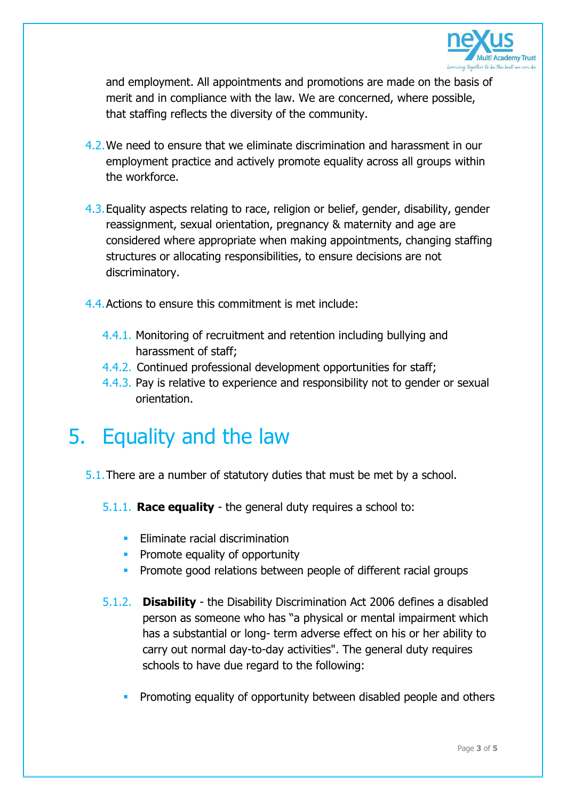

and employment. All appointments and promotions are made on the basis of merit and in compliance with the law. We are concerned, where possible, that staffing reflects the diversity of the community.

- 4.2.We need to ensure that we eliminate discrimination and harassment in our employment practice and actively promote equality across all groups within the workforce.
- 4.3.Equality aspects relating to race, religion or belief, gender, disability, gender reassignment, sexual orientation, pregnancy & maternity and age are considered where appropriate when making appointments, changing staffing structures or allocating responsibilities, to ensure decisions are not discriminatory.
- 4.4.Actions to ensure this commitment is met include:
	- 4.4.1. Monitoring of recruitment and retention including bullying and harassment of staff;
	- 4.4.2. Continued professional development opportunities for staff;
	- 4.4.3. Pay is relative to experience and responsibility not to gender or sexual orientation.

#### 5. Equality and the law

- 5.1.There are a number of statutory duties that must be met by a school.
	- 5.1.1. **Race equality** the general duty requires a school to:
		- $\blacksquare$  Fliminate racial discrimination
		- **Promote equality of opportunity**
		- **Promote good relations between people of different racial groups**
	- 5.1.2. **Disability** the Disability Discrimination Act 2006 defines a disabled person as someone who has "a physical or mental impairment which has a substantial or long- term adverse effect on his or her ability to carry out normal day-to-day activities". The general duty requires schools to have due regard to the following:
		- Promoting equality of opportunity between disabled people and others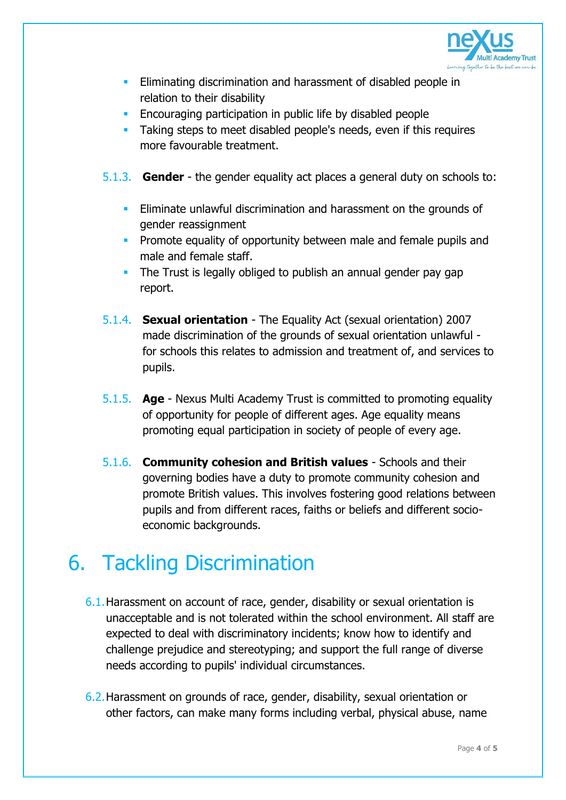

- **Eliminating discrimination and harassment of disabled people in** relation to their disability
- **Encouraging participation in public life by disabled people**
- **Taking steps to meet disabled people's needs, even if this requires** more favourable treatment.
- 5.1.3. **Gender** the gender equality act places a general duty on schools to:
	- **Eliminate unlawful discrimination and harassment on the grounds of** gender reassignment
	- **Promote equality of opportunity between male and female pupils and** male and female staff.
	- The Trust is legally obliged to publish an annual gender pay gap report.
- 5.1.4. **Sexual orientation** The Equality Act (sexual orientation) 2007 made discrimination of the grounds of sexual orientation unlawful for schools this relates to admission and treatment of, and services to pupils.
- 5.1.5. **Age** Nexus Multi Academy Trust is committed to promoting equality of opportunity for people of different ages. Age equality means promoting equal participation in society of people of every age.
- 5.1.6. **Community cohesion and British values** Schools and their governing bodies have a duty to promote community cohesion and promote British values. This involves fostering good relations between pupils and from different races, faiths or beliefs and different socioeconomic backgrounds.

## 6. Tackling Discrimination

- 6.1.Harassment on account of race, gender, disability or sexual orientation is unacceptable and is not tolerated within the school environment. All staff are expected to deal with discriminatory incidents; know how to identify and challenge prejudice and stereotyping; and support the full range of diverse needs according to pupils' individual circumstances.
- 6.2.Harassment on grounds of race, gender, disability, sexual orientation or other factors, can make many forms including verbal, physical abuse, name